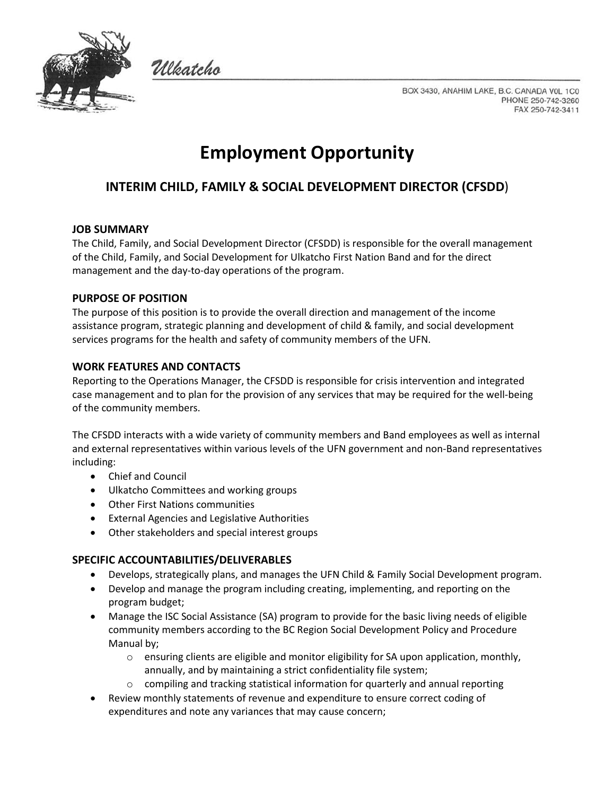

Włatcho

BOX 3430, ANAHIM LAKE, B.C. CANADA VOL 1C0 PHONE 250-742-3260 FAX 250-742-3411

# **Employment Opportunity**

# **INTERIM CHILD, FAMILY & SOCIAL DEVELOPMENT DIRECTOR (CFSDD**)

#### **JOB SUMMARY**

The Child, Family, and Social Development Director (CFSDD) is responsible for the overall management of the Child, Family, and Social Development for Ulkatcho First Nation Band and for the direct management and the day-to-day operations of the program.

#### **PURPOSE OF POSITION**

The purpose of this position is to provide the overall direction and management of the income assistance program, strategic planning and development of child & family, and social development services programs for the health and safety of community members of the UFN.

#### **WORK FEATURES AND CONTACTS**

Reporting to the Operations Manager, the CFSDD is responsible for crisis intervention and integrated case management and to plan for the provision of any services that may be required for the well-being of the community members.

The CFSDD interacts with a wide variety of community members and Band employees as well as internal and external representatives within various levels of the UFN government and non-Band representatives including:

- Chief and Council
- Ulkatcho Committees and working groups
- Other First Nations communities
- External Agencies and Legislative Authorities
- Other stakeholders and special interest groups

#### **SPECIFIC ACCOUNTABILITIES/DELIVERABLES**

- Develops, strategically plans, and manages the UFN Child & Family Social Development program.
- Develop and manage the program including creating, implementing, and reporting on the program budget;
- Manage the ISC Social Assistance (SA) program to provide for the basic living needs of eligible community members according to the BC Region Social Development Policy and Procedure Manual by;
	- $\circ$  ensuring clients are eligible and monitor eligibility for SA upon application, monthly, annually, and by maintaining a strict confidentiality file system;
	- $\circ$  compiling and tracking statistical information for quarterly and annual reporting
- Review monthly statements of revenue and expenditure to ensure correct coding of expenditures and note any variances that may cause concern;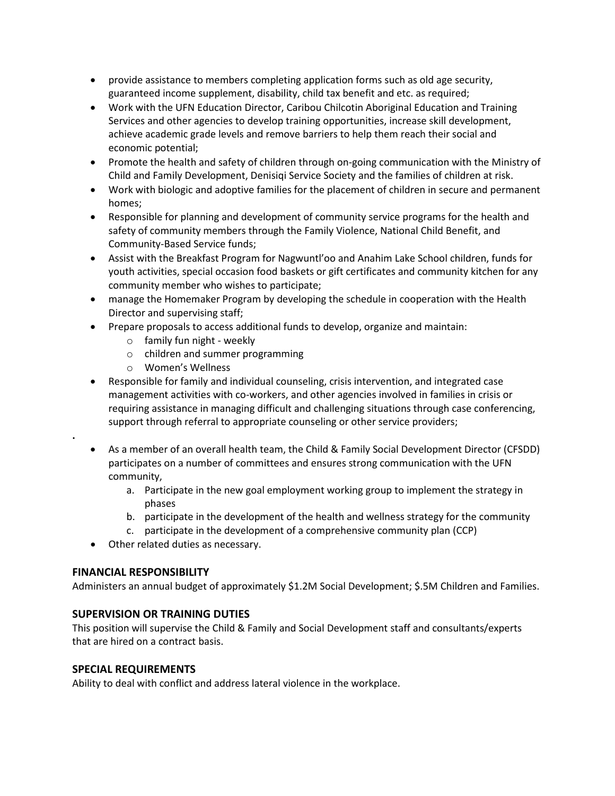- provide assistance to members completing application forms such as old age security, guaranteed income supplement, disability, child tax benefit and etc. as required;
- Work with the UFN Education Director, Caribou Chilcotin Aboriginal Education and Training Services and other agencies to develop training opportunities, increase skill development, achieve academic grade levels and remove barriers to help them reach their social and economic potential;
- Promote the health and safety of children through on-going communication with the Ministry of Child and Family Development, Denisiqi Service Society and the families of children at risk.
- Work with biologic and adoptive families for the placement of children in secure and permanent homes;
- Responsible for planning and development of community service programs for the health and safety of community members through the Family Violence, National Child Benefit, and Community-Based Service funds;
- Assist with the Breakfast Program for Nagwuntl'oo and Anahim Lake School children, funds for youth activities, special occasion food baskets or gift certificates and community kitchen for any community member who wishes to participate;
- manage the Homemaker Program by developing the schedule in cooperation with the Health Director and supervising staff;
- Prepare proposals to access additional funds to develop, organize and maintain:
	- o family fun night weekly
	- o children and summer programming
	- o Women's Wellness
- Responsible for family and individual counseling, crisis intervention, and integrated case management activities with co-workers, and other agencies involved in families in crisis or requiring assistance in managing difficult and challenging situations through case conferencing, support through referral to appropriate counseling or other service providers;
- As a member of an overall health team, the Child & Family Social Development Director (CFSDD) participates on a number of committees and ensures strong communication with the UFN community,
	- a. Participate in the new goal employment working group to implement the strategy in phases
	- b. participate in the development of the health and wellness strategy for the community
	- c. participate in the development of a comprehensive community plan (CCP)
- Other related duties as necessary.

### **FINANCIAL RESPONSIBILITY**

**.**

Administers an annual budget of approximately \$1.2M Social Development; \$.5M Children and Families.

#### **SUPERVISION OR TRAINING DUTIES**

This position will supervise the Child & Family and Social Development staff and consultants/experts that are hired on a contract basis.

#### **SPECIAL REQUIREMENTS**

Ability to deal with conflict and address lateral violence in the workplace.